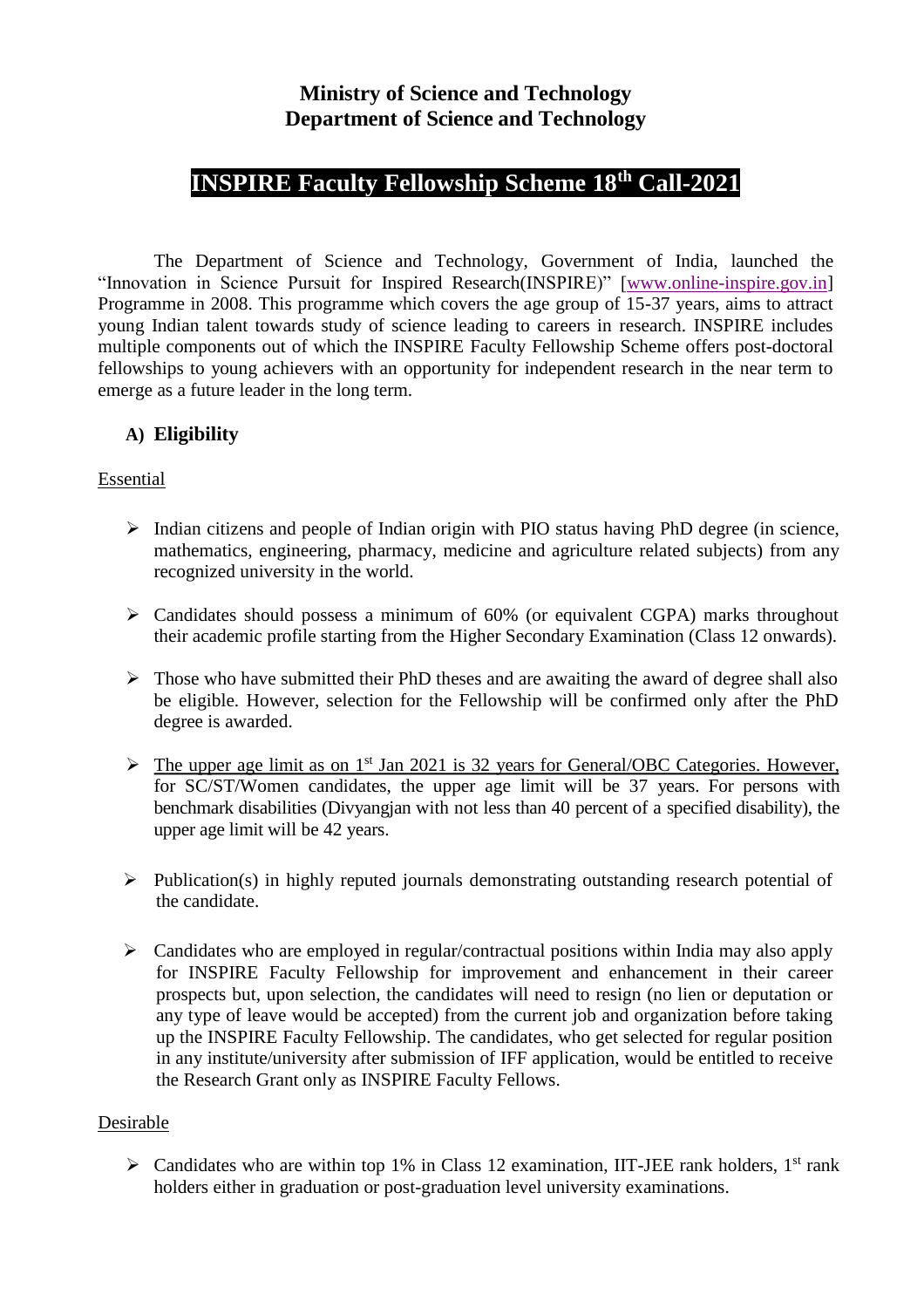## **Ministry of Science and Technology Department of Science and Technology**

# **INSPIRE Faculty Fellowship Scheme 18th Call-2021**

The Department of Science and Technology, Government of India, launched the "Innovation in Science Pursuit for Inspired Research(INSPIRE)" [\[www.online-inspire.gov.in\]](http://www.online-inspire.gov.in/) Programme in 2008. This programme which covers the age group of 15-37 years, aims to attract young Indian talent towards study of science leading to careers in research. INSPIRE includes multiple components out of which the INSPIRE Faculty Fellowship Scheme offers post-doctoral fellowships to young achievers with an opportunity for independent research in the near term to emerge as a future leader in the long term.

#### **A) Eligibility**

#### Essential

- ➢ Indian citizens and people of Indian origin with PIO status having PhD degree (in science, mathematics, engineering, pharmacy, medicine and agriculture related subjects) from any recognized university in the world.
- ➢ Candidates should possess a minimum of 60% (or equivalent CGPA) marks throughout their academic profile starting from the Higher Secondary Examination (Class 12 onwards).
- $\triangleright$  Those who have submitted their PhD theses and are awaiting the award of degree shall also be eligible. However, selection for the Fellowship will be confirmed only after the PhD degree is awarded.
- $\triangleright$  The upper age limit as on 1<sup>st</sup> Jan 2021 is 32 years for General/OBC Categories. However, for SC/ST/Women candidates, the upper age limit will be 37 years. For persons with benchmark disabilities (Divyangjan with not less than 40 percent of a specified disability), the upper age limit will be 42 years.
- ➢ Publication(s) in highly reputed journals demonstrating outstanding research potential of the candidate.
- ➢ Candidates who are employed in regular/contractual positions within India may also apply for INSPIRE Faculty Fellowship for improvement and enhancement in their career prospects but, upon selection, the candidates will need to resign (no lien or deputation or any type of leave would be accepted) from the current job and organization before taking up the INSPIRE Faculty Fellowship. The candidates, who get selected for regular position in any institute/university after submission of IFF application, would be entitled to receive the Research Grant only as INSPIRE Faculty Fellows.

#### Desirable

 $\triangleright$  Candidates who are within top 1% in Class 12 examination, IIT-JEE rank holders, 1<sup>st</sup> rank holders either in graduation or post-graduation level university examinations.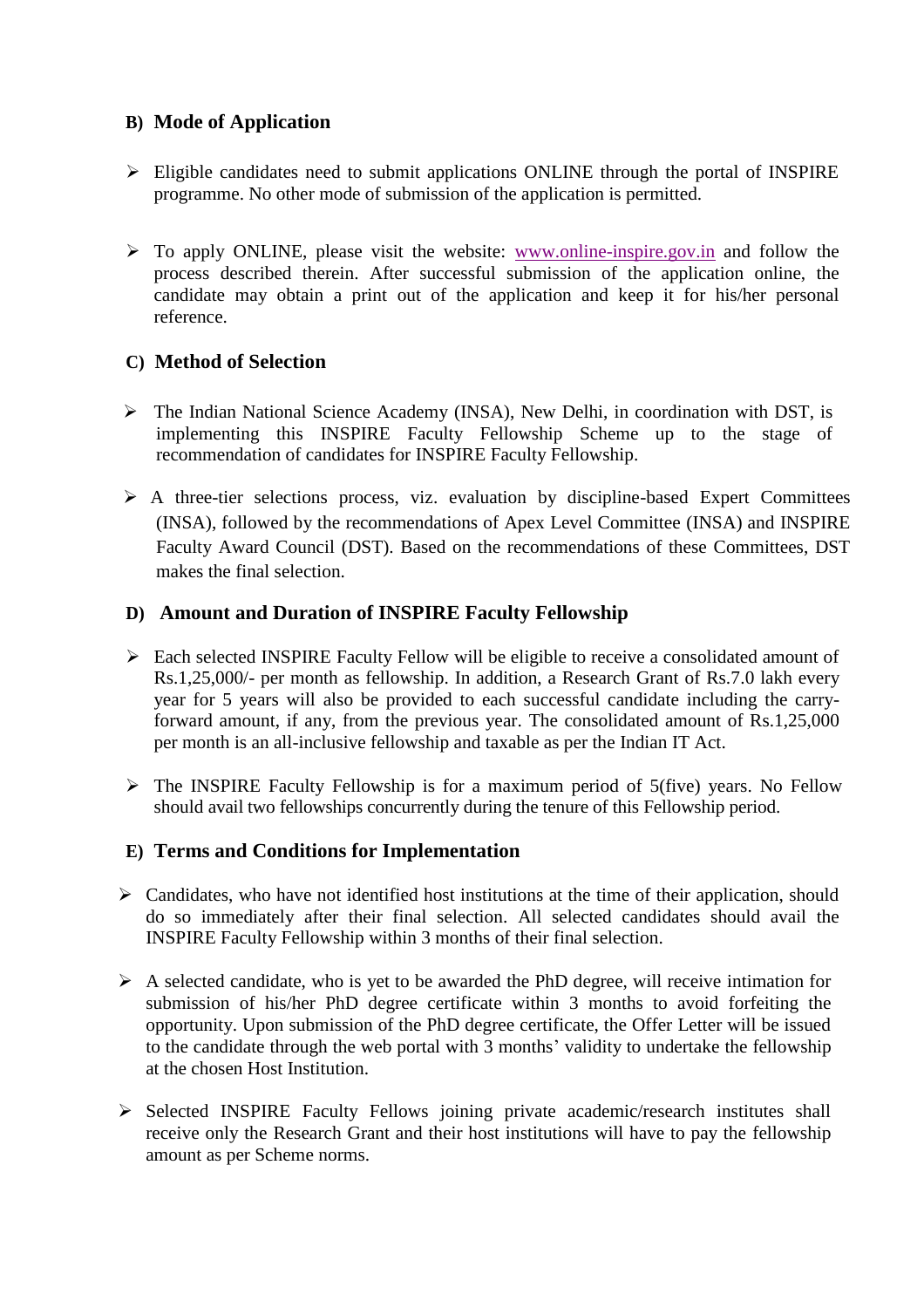#### **B) Mode of Application**

- ➢ Eligible candidates need to submit applications ONLINE through the portal of INSPIRE programme. No other mode of submission of the application is permitted.
- $\triangleright$  To apply ONLINE, please visit the website: [www.online-inspire.gov.in](http://www.online-inspire.gov.in/) and follow the process described therein. After successful submission of the application online, the candidate may obtain a print out of the application and keep it for his/her personal reference.

#### **C) Method of Selection**

- ➢ The Indian National Science Academy (INSA), New Delhi, in coordination with DST, is implementing this INSPIRE Faculty Fellowship Scheme up to the stage of recommendation of candidates for INSPIRE Faculty Fellowship.
- ➢ A three-tier selections process, viz. evaluation by discipline-based Expert Committees (INSA), followed by the recommendations of Apex Level Committee (INSA) and INSPIRE Faculty Award Council (DST). Based on the recommendations of these Committees, DST makes the final selection.

#### **D) Amount and Duration of INSPIRE Faculty Fellowship**

- $\triangleright$  Each selected INSPIRE Faculty Fellow will be eligible to receive a consolidated amount of Rs.1,25,000/- per month as fellowship. In addition, a Research Grant of Rs.7.0 lakh every year for 5 years will also be provided to each successful candidate including the carryforward amount, if any, from the previous year. The consolidated amount of Rs.1,25,000 per month is an all-inclusive fellowship and taxable as per the Indian IT Act.
- ➢ The INSPIRE Faculty Fellowship is for a maximum period of 5(five) years. No Fellow should avail two fellowships concurrently during the tenure of this Fellowship period.

## **E) Terms and Conditions for Implementation**

- $\triangleright$  Candidates, who have not identified host institutions at the time of their application, should do so immediately after their final selection. All selected candidates should avail the INSPIRE Faculty Fellowship within 3 months of their final selection.
- $\triangleright$  A selected candidate, who is yet to be awarded the PhD degree, will receive intimation for submission of his/her PhD degree certificate within 3 months to avoid forfeiting the opportunity. Upon submission of the PhD degree certificate, the Offer Letter will be issued to the candidate through the web portal with 3 months' validity to undertake the fellowship at the chosen Host Institution.
- ➢ Selected INSPIRE Faculty Fellows joining private academic/research institutes shall receive only the Research Grant and their host institutions will have to pay the fellowship amount as per Scheme norms.